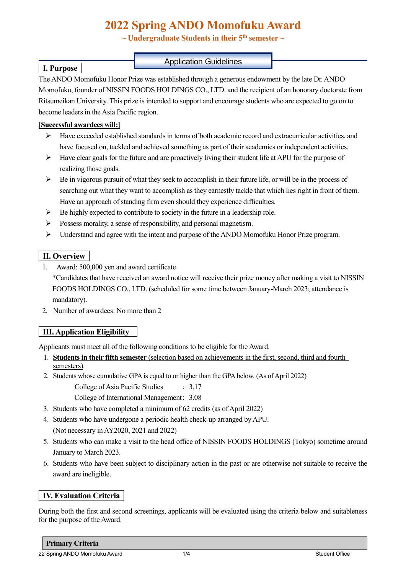# **2022 Spring ANDO Momofuku Award**

**~ Undergraduate Students in their 5th semester ~**

### Application Guidelines

The ANDO Momofuku Honor Prize was established through a generous endowment by the late Dr. ANDO Momofuku, founder of NISSIN FOODS HOLDINGS CO., LTD. and the recipient of an honorary doctorate from Ritsumeikan University. This prize is intended to support and encourage students who are expected to go on to become leaders in the Asia Pacific region.

### **[Successful awardees will:]**

 **I. Purpose**

- $\triangleright$  Have exceeded established standards in terms of both academic record and extracurricular activities, and have focused on, tackled and achieved something as part of their academics or independent activities.
- $\triangleright$  Have clear goals for the future and are proactively living their student life at APU for the purpose of realizing those goals.
- $\triangleright$  Be in vigorous pursuit of what they seek to accomplish in their future life, or will be in the process of searching out what they want to accomplish as they earnestly tackle that which lies right in front of them. Have an approach of standing firm even should they experience difficulties.
- $\triangleright$  Be highly expected to contribute to society in the future in a leadership role.
- $\triangleright$  Possess morality, a sense of responsibility, and personal magnetism.
- Understand and agree with the intent and purpose of the ANDO Momofuku Honor Prize program.

# **II. Overview**

- 1. Award: 500,000 yen and award certificate \*Candidates that have received an award notice will receive their prize money after making a visit to NISSIN FOODS HOLDINGS CO., LTD. (scheduled for some time between January-March 2023; attendance is mandatory).
- 2. Number of awardees: No more than 2

# **III. Application Eligibility**

Applicants must meet all of the following conditions to be eligible for the Award.

- 1. **Students in their fifth semester** (selection based on achievements in the first, second, third and fourth semesters).
- 2. Students whose cumulative GPA is equal to or higher than the GPA below. (As of April 2022)

College of Asia Pacific Studies : 3.17

College of International Management: 3.08

- 3. Students who have completed a minimum of 62 credits (as of April 2022)
- 4. Students who have undergone a periodic health check-up arranged by APU. (Not necessary in AY2020, 2021 and 2022)
- 5. Students who can make a visit to the head office of NISSIN FOODS HOLDINGS (Tokyo) sometime around January to March 2023.
- 6. Students who have been subject to disciplinary action in the past or are otherwise not suitable to receive the award are ineligible.

# **IV. Evaluation Criteria**

During both the first and second screenings, applicants will be evaluated using the criteria below and suitableness for the purpose of the Award.

#### **Primary Criteria**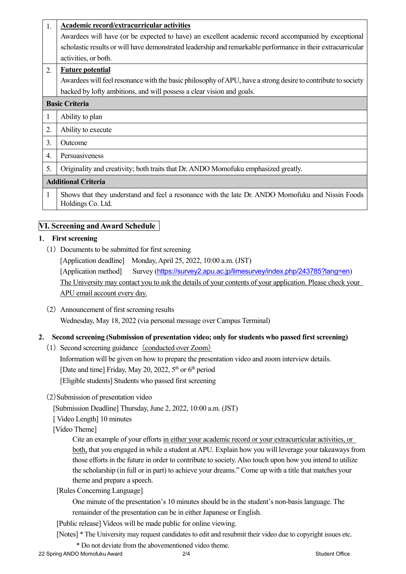| 1.                         | Academic record/extracurricular activities                                                                            |  |
|----------------------------|-----------------------------------------------------------------------------------------------------------------------|--|
|                            | Awardees will have (or be expected to have) an excellent academic record accompanied by exceptional                   |  |
|                            | scholastic results or will have demonstrated leadership and remarkable performance in their extracurricular           |  |
|                            | activities, or both.                                                                                                  |  |
| $\overline{2}$ .           | <b>Future potential</b>                                                                                               |  |
|                            | Awardees will feel resonance with the basic philosophy of APU, have a strong desire to contribute to society          |  |
|                            | backed by lofty ambitions, and will possess a clear vision and goals.                                                 |  |
| <b>Basic Criteria</b>      |                                                                                                                       |  |
| 1                          | Ability to plan                                                                                                       |  |
| 2.                         | Ability to execute                                                                                                    |  |
| 3.                         | Outcome                                                                                                               |  |
| 4.                         | Persuasiveness                                                                                                        |  |
| 5.                         | Originality and creativity; both traits that Dr. ANDO Momofuku emphasized greatly.                                    |  |
| <b>Additional Criteria</b> |                                                                                                                       |  |
| 1                          | Shows that they understand and feel a resonance with the late Dr. ANDO Momofuku and Nissin Foods<br>Holdings Co. Ltd. |  |

# **VI. Screening and Award Schedule**

#### **1**. **First screening**

(1) Documents to be submitted for first screening

[Application deadline] Monday, April 25, 2022, 10:00 a.m. (JST) [Application method] Survey (<https://survey2.apu.ac.jp/limesurvey/index.php/243785?lang=en>) The University may contact you to ask the details of your contents of your application. Please check your APU email account every day.

(2) Announcement of first screening results Wednesday, May 18, 2022 (via personal message over Campus Terminal)

#### **2**. **Second screening (Submission of presentation video; only for students who passed first screening)**

- (1) Second screening guidance (conducted over Zoom) Information will be given on how to prepare the presentation video and zoom interview details. [Date and time] Friday, May 20, 2022,  $5<sup>th</sup>$  or  $6<sup>th</sup>$  period [Eligible students] Students who passed first screening
- (2)Submission of presentation video

[Submission Deadline] Thursday, June 2, 2022, 10:00 a.m. (JST)

[ Video Length] 10 minutes

[Video Theme]

Cite an example of your efforts in either your academic record or your extracurricular activities, or both, that you engaged in while a student at APU. Explain how you will leverage your takeaways from those efforts in the future in order to contribute to society. Also touch upon how you intend to utilize the scholarship (in full or in part) to achieve your dreams." Come up with a title that matches your theme and prepare a speech.

[Rules Concerning Language]

One minute of the presentation's 10 minutes should be in the student's non-basis language. The

remainder of the presentation can be in either Japanese or English.

[Public release] Videos will be made public for online viewing.

[Notes] \* The University may request candidates to edit and resubmit their video due to copyright issues etc.

\* Do not deviate from the abovementioned video theme.